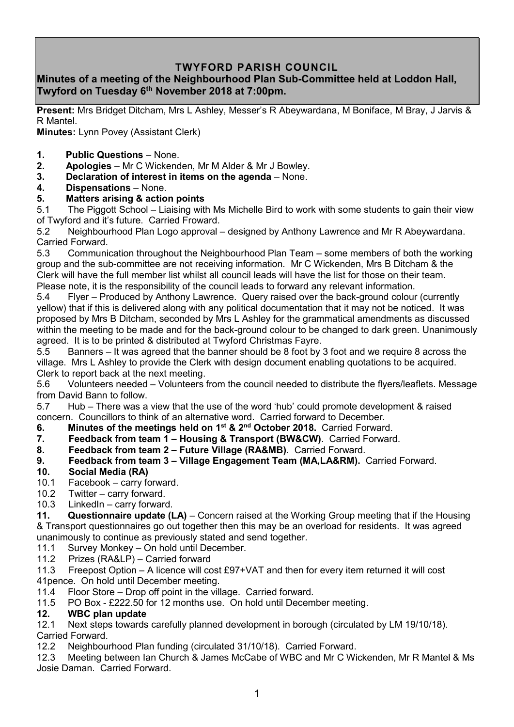## **TWYFORD PARISH COUNCIL**

### **Minutes of a meeting of the Neighbourhood Plan Sub-Committee held at Loddon Hall, Twyford on Tuesday 6 th November 2018 at 7:00pm.**

**Present:** Mrs Bridget Ditcham, Mrs L Ashley, Messer's R Abeywardana, M Boniface, M Bray, J Jarvis & R Mantel.

**Minutes:** Lynn Povey (Assistant Clerk)

- **1. Public Questions** None.
- **2. Apologies** Mr C Wickenden, Mr M Alder & Mr J Bowley.
- **3. Declaration of interest in items on the agenda** None.
- **4. Dispensations**  None.

#### **5. Matters arising & action points**

5.1 The Piggott School – Liaising with Ms Michelle Bird to work with some students to gain their view of Twyford and it's future. Carried Froward.

5.2 Neighbourhood Plan Logo approval – designed by Anthony Lawrence and Mr R Abeywardana. Carried Forward.

5.3 Communication throughout the Neighbourhood Plan Team – some members of both the working group and the sub-committee are not receiving information. Mr C Wickenden, Mrs B Ditcham & the Clerk will have the full member list whilst all council leads will have the list for those on their team. Please note, it is the responsibility of the council leads to forward any relevant information.

5.4 Flyer – Produced by Anthony Lawrence. Query raised over the back-ground colour (currently yellow) that if this is delivered along with any political documentation that it may not be noticed. It was proposed by Mrs B Ditcham, seconded by Mrs L Ashley for the grammatical amendments as discussed within the meeting to be made and for the back-ground colour to be changed to dark green. Unanimously agreed. It is to be printed & distributed at Twyford Christmas Fayre.

5.5 Banners – It was agreed that the banner should be 8 foot by 3 foot and we require 8 across the village. Mrs L Ashley to provide the Clerk with design document enabling quotations to be acquired. Clerk to report back at the next meeting.

5.6 Volunteers needed – Volunteers from the council needed to distribute the flyers/leaflets. Message from David Bann to follow.

5.7 Hub – There was a view that the use of the word 'hub' could promote development & raised concern. Councillors to think of an alternative word. Carried forward to December.

**6. Minutes of the meetings held on 1 st & 2nd October 2018.** Carried Forward.

**7. Feedback from team 1 – Housing & Transport (BW&CW)**. Carried Forward.

- **8. Feedback from team 2 – Future Village (RA&MB)**. Carried Forward.
- **9. Feedback from team 3 – Village Engagement Team (MA,LA&RM).** Carried Forward.

#### **10. Social Media (RA)**

- 10.1 Facebook carry forward.
- 10.2 Twitter carry forward.
- 10.3 LinkedIn carry forward.

**11. Questionnaire update (LA)** – Concern raised at the Working Group meeting that if the Housing & Transport questionnaires go out together then this may be an overload for residents. It was agreed unanimously to continue as previously stated and send together.

- 11.1 Survey Monkey On hold until December.
- 11.2 Prizes (RA&LP) Carried forward

11.3 Freepost Option – A licence will cost £97+VAT and then for every item returned it will cost

41pence. On hold until December meeting.

- 11.4 Floor Store Drop off point in the village. Carried forward.<br>11.5 PO Box £222.50 for 12 months use. On hold until Decem
- PO Box £222.50 for 12 months use. On hold until December meeting.

#### **12. WBC plan update**

12.1 Next steps towards carefully planned development in borough (circulated by LM 19/10/18). Carried Forward.

12.2 Neighbourhood Plan funding (circulated 31/10/18). Carried Forward.

12.3 Meeting between Ian Church & James McCabe of WBC and Mr C Wickenden, Mr R Mantel & Ms Josie Daman. Carried Forward.